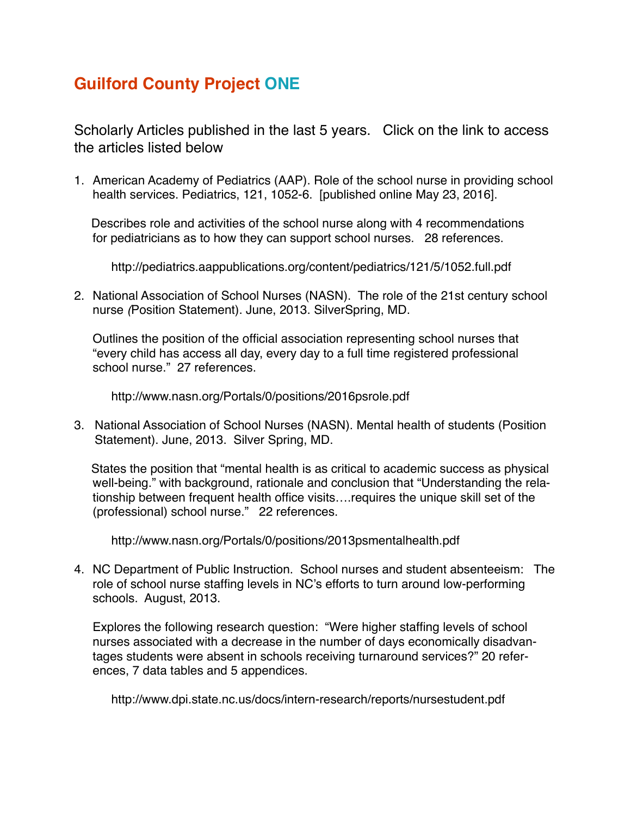## **Guilford County Project ONE**

Scholarly Articles published in the last 5 years. Click on the link to access the articles listed below

1. American Academy of Pediatrics (AAP). Role of the school nurse in providing school health services. Pediatrics, 121, 1052-6. [published online May 23, 2016].

 Describes role and activities of the school nurse along with 4 recommendations for pediatricians as to how they can support school nurses. 28 references.

<http://pediatrics.aappublications.org/content/pediatrics/121/5/1052.full.pdf>

2. National Association of School Nurses (NASN). The role of the 21st century school nurse *(*Position Statement). June, 2013. SilverSpring, MD.

 Outlines the position of the official association representing school nurses that "every child has access all day, every day to a full time registered professional school nurse." 27 references.

<http://www.nasn.org/Portals/0/positions/2016psrole.pdf>

3. National Association of School Nurses (NASN). Mental health of students (Position Statement). June, 2013. Silver Spring, MD.

 States the position that "mental health is as critical to academic success as physical well-being." with background, rationale and conclusion that "Understanding the relationship between frequent health office visits….requires the unique skill set of the (professional) school nurse." 22 references.

<http://www.nasn.org/Portals/0/positions/2013psmentalhealth.pdf>

4. NC Department of Public Instruction. School nurses and student absenteeism: The role of school nurse staffing levels in NC's efforts to turn around low-performing schools. August, 2013.

Explores the following research question: "Were higher staffing levels of school nurses associated with a decrease in the number of days economically disadvantages students were absent in schools receiving turnaround services?" 20 references, 7 data tables and 5 appendices.

<http://www.dpi.state.nc.us/docs/intern-research/reports/nursestudent.pdf>